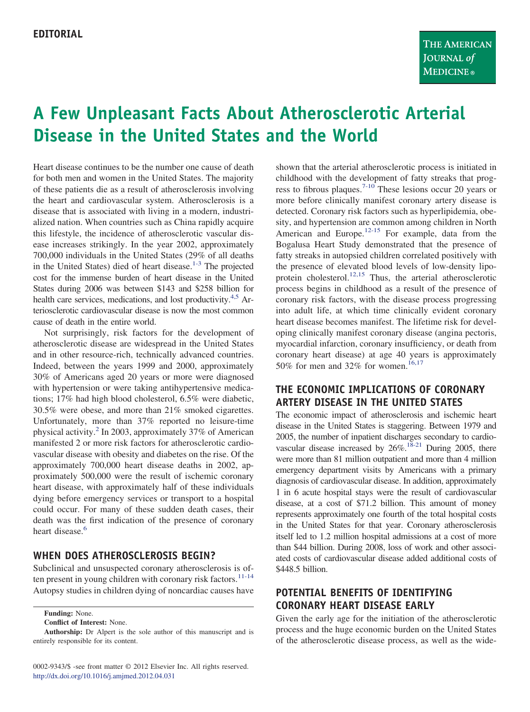# **A Few Unpleasant Facts About Atherosclerotic Arterial Disease in the United States and the World**

Heart disease continues to be the number one cause of death for both men and women in the United States. The majority of these patients die as a result of atherosclerosis involving the heart and cardiovascular system. Atherosclerosis is a disease that is associated with living in a modern, industrialized nation. When countries such as China rapidly acquire this lifestyle, the incidence of atherosclerotic vascular disease increases strikingly. In the year 2002, approximately 700,000 individuals in the United States (29% of all deaths in the United States) died of heart disease.<sup>1-3</sup> The projected cost for the immense burden of heart disease in the United States during 2006 was between \$143 and \$258 billion for health care services, medications, and lost productivity.<sup>4,5</sup> Arteriosclerotic cardiovascular disease is now the most common cause of death in the entire world.

Not surprisingly, risk factors for the development of atherosclerotic disease are widespread in the United States and in other resource-rich, technically advanced countries. Indeed, between the years 1999 and 2000, approximately 30% of Americans aged 20 years or more were diagnosed with hypertension or were taking antihypertensive medications; 17% had high blood cholesterol, 6.5% were diabetic, 30.5% were obese, and more than 21% smoked cigarettes. Unfortunately, more than 37% reported no leisure-time physical activity[.2](#page-1-2) In 2003, approximately 37% of American manifested 2 or more risk factors for atherosclerotic cardiovascular disease with obesity and diabetes on the rise. Of the approximately 700,000 heart disease deaths in 2002, approximately 500,000 were the result of ischemic coronary heart disease, with approximately half of these individuals dying before emergency services or transport to a hospital could occur. For many of these sudden death cases, their death was the first indication of the presence of coronary heart disease.<sup>6</sup>

#### **WHEN DOES ATHEROSCLEROSIS BEGIN?**

Subclinical and unsuspected coronary atherosclerosis is of-ten present in young children with coronary risk factors.<sup>[11-14](#page-1-4)</sup> Autopsy studies in children dying of noncardiac causes have

**Funding:** None.

**Conflict of Interest:** None.

shown that the arterial atherosclerotic process is initiated in childhood with the development of fatty streaks that progress to fibrous plaques.[7-10](#page-1-5) These lesions occur 20 years or more before clinically manifest coronary artery disease is detected. Coronary risk factors such as hyperlipidemia, obesity, and hypertension are common among children in North American and Europe.<sup>[12-15](#page-1-6)</sup> For example, data from the Bogalusa Heart Study demonstrated that the presence of fatty streaks in autopsied children correlated positively with the presence of elevated blood levels of low-density lipo-protein cholesterol.<sup>[12,15](#page-1-6)</sup> Thus, the arterial atherosclerotic process begins in childhood as a result of the presence of coronary risk factors, with the disease process progressing into adult life, at which time clinically evident coronary heart disease becomes manifest. The lifetime risk for developing clinically manifest coronary disease (angina pectoris, myocardial infarction, coronary insufficiency, or death from coronary heart disease) at age 40 years is approximately 50% for men and 32% for women.<sup>[16,17](#page-1-7)</sup>

### **THE ECONOMIC IMPLICATIONS OF CORONARY ARTERY DISEASE IN THE UNITED STATES**

The economic impact of atherosclerosis and ischemic heart disease in the United States is staggering. Between 1979 and 2005, the number of inpatient discharges secondary to cardiovascular disease increased by 26%[.18-21](#page-1-8) During 2005, there were more than 81 million outpatient and more than 4 million emergency department visits by Americans with a primary diagnosis of cardiovascular disease. In addition, approximately 1 in 6 acute hospital stays were the result of cardiovascular disease, at a cost of \$71.2 billion. This amount of money represents approximately one fourth of the total hospital costs in the United States for that year. Coronary atherosclerosis itself led to 1.2 million hospital admissions at a cost of more than \$44 billion. During 2008, loss of work and other associated costs of cardiovascular disease added additional costs of \$448.5 billion.

## **POTENTIAL BENEFITS OF IDENTIFYING CORONARY HEART DISEASE EARLY**

Given the early age for the initiation of the atherosclerotic process and the huge economic burden on the United States of the atherosclerotic disease process, as well as the wide-

**Authorship:** Dr Alpert is the sole author of this manuscript and is entirely responsible for its content.